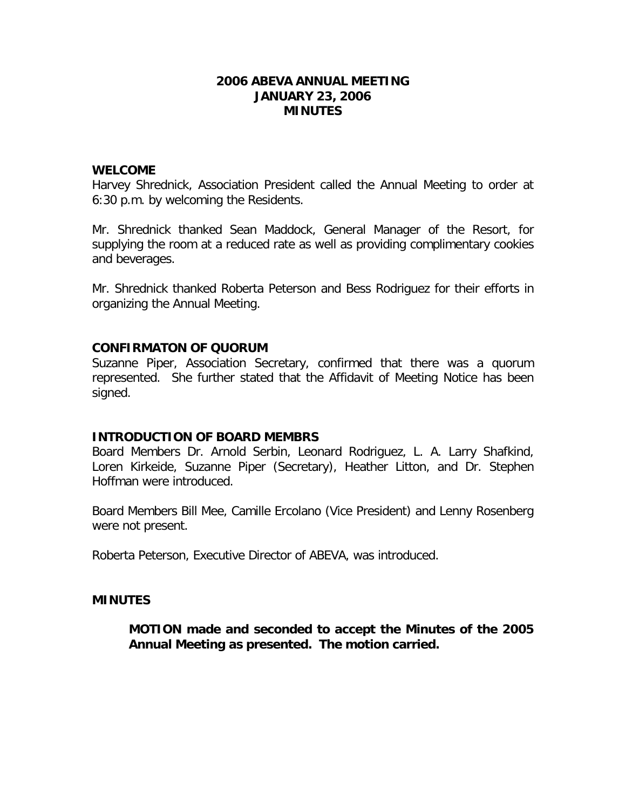### **2006 ABEVA ANNUAL MEETING JANUARY 23, 2006 MINUTES**

#### **WELCOME**

Harvey Shrednick, Association President called the Annual Meeting to order at 6:30 p.m. by welcoming the Residents.

Mr. Shrednick thanked Sean Maddock, General Manager of the Resort, for supplying the room at a reduced rate as well as providing complimentary cookies and beverages.

Mr. Shrednick thanked Roberta Peterson and Bess Rodriguez for their efforts in organizing the Annual Meeting.

### **CONFIRMATON OF QUORUM**

Suzanne Piper, Association Secretary, confirmed that there was a quorum represented. She further stated that the Affidavit of Meeting Notice has been signed.

### **INTRODUCTION OF BOARD MEMBRS**

Board Members Dr. Arnold Serbin, Leonard Rodriguez, L. A. Larry Shafkind, Loren Kirkeide, Suzanne Piper (Secretary), Heather Litton, and Dr. Stephen Hoffman were introduced.

Board Members Bill Mee, Camille Ercolano (Vice President) and Lenny Rosenberg were not present.

Roberta Peterson, Executive Director of ABEVA, was introduced.

### **MINUTES**

**MOTION made and seconded to accept the Minutes of the 2005 Annual Meeting as presented. The motion carried.**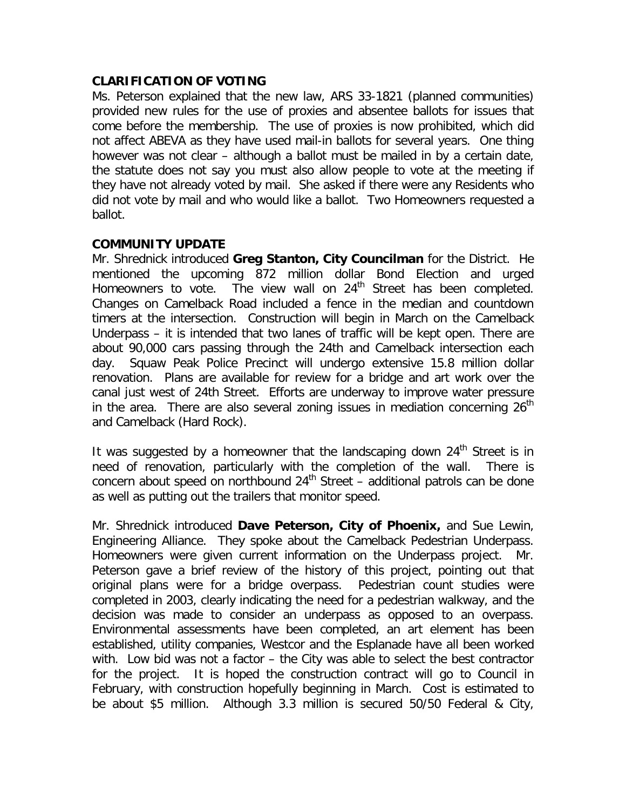# **CLARIFICATION OF VOTING**

Ms. Peterson explained that the new law, ARS 33-1821 (planned communities) provided new rules for the use of proxies and absentee ballots for issues that come before the membership. The use of proxies is now prohibited, which did not affect ABEVA as they have used mail-in ballots for several years. One thing however was not clear – although a ballot must be mailed in by a certain date, the statute does not say you must also allow people to vote at the meeting if they have not already voted by mail. She asked if there were any Residents who did not vote by mail and who would like a ballot. Two Homeowners requested a ballot.

### **COMMUNITY UPDATE**

Mr. Shrednick introduced **Greg Stanton, City Councilman** for the District. He mentioned the upcoming 872 million dollar Bond Election and urged Homeowners to vote. The view wall on 24<sup>th</sup> Street has been completed. Changes on Camelback Road included a fence in the median and countdown timers at the intersection. Construction will begin in March on the Camelback Underpass – it is intended that two lanes of traffic will be kept open. There are about 90,000 cars passing through the 24th and Camelback intersection each day. Squaw Peak Police Precinct will undergo extensive 15.8 million dollar renovation. Plans are available for review for a bridge and art work over the canal just west of 24th Street. Efforts are underway to improve water pressure in the area. There are also several zoning issues in mediation concerning  $26<sup>th</sup>$ and Camelback (Hard Rock).

It was suggested by a homeowner that the landscaping down  $24<sup>th</sup>$  Street is in need of renovation, particularly with the completion of the wall. There is concern about speed on northbound  $24<sup>th</sup>$  Street – additional patrols can be done as well as putting out the trailers that monitor speed.

Mr. Shrednick introduced **Dave Peterson, City of Phoenix,** and Sue Lewin, Engineering Alliance. They spoke about the Camelback Pedestrian Underpass. Homeowners were given current information on the Underpass project. Mr. Peterson gave a brief review of the history of this project, pointing out that original plans were for a bridge overpass. Pedestrian count studies were completed in 2003, clearly indicating the need for a pedestrian walkway, and the decision was made to consider an underpass as opposed to an overpass. Environmental assessments have been completed, an art element has been established, utility companies, Westcor and the Esplanade have all been worked with. Low bid was not a factor – the City was able to select the best contractor for the project. It is hoped the construction contract will go to Council in February, with construction hopefully beginning in March. Cost is estimated to be about \$5 million. Although 3.3 million is secured 50/50 Federal & City,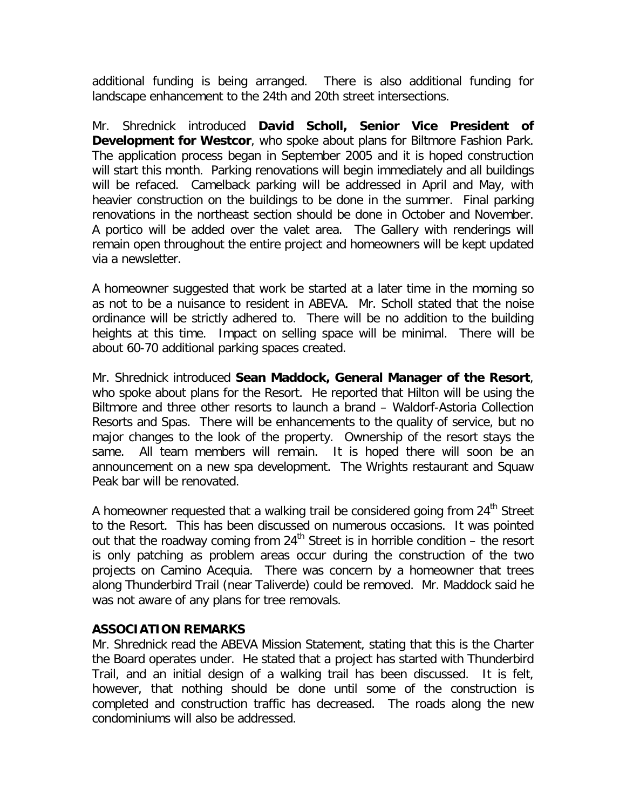additional funding is being arranged. There is also additional funding for landscape enhancement to the 24th and 20th street intersections.

Mr. Shrednick introduced **David Scholl, Senior Vice President of Development for Westcor**, who spoke about plans for Biltmore Fashion Park. The application process began in September 2005 and it is hoped construction will start this month. Parking renovations will begin immediately and all buildings will be refaced. Camelback parking will be addressed in April and May, with heavier construction on the buildings to be done in the summer. Final parking renovations in the northeast section should be done in October and November. A portico will be added over the valet area. The Gallery with renderings will remain open throughout the entire project and homeowners will be kept updated via a newsletter.

A homeowner suggested that work be started at a later time in the morning so as not to be a nuisance to resident in ABEVA. Mr. Scholl stated that the noise ordinance will be strictly adhered to. There will be no addition to the building heights at this time. Impact on selling space will be minimal. There will be about 60-70 additional parking spaces created.

Mr. Shrednick introduced **Sean Maddock, General Manager of the Resort**, who spoke about plans for the Resort. He reported that Hilton will be using the Biltmore and three other resorts to launch a brand – Waldorf-Astoria Collection Resorts and Spas. There will be enhancements to the quality of service, but no major changes to the look of the property. Ownership of the resort stays the same. All team members will remain. It is hoped there will soon be an announcement on a new spa development. The Wrights restaurant and Squaw Peak bar will be renovated.

A homeowner requested that a walking trail be considered going from  $24<sup>th</sup>$  Street to the Resort. This has been discussed on numerous occasions. It was pointed out that the roadway coming from  $24<sup>th</sup>$  Street is in horrible condition – the resort is only patching as problem areas occur during the construction of the two projects on Camino Acequia. There was concern by a homeowner that trees along Thunderbird Trail (near Taliverde) could be removed. Mr. Maddock said he was not aware of any plans for tree removals.

# **ASSOCIATION REMARKS**

Mr. Shrednick read the ABEVA Mission Statement, stating that this is the Charter the Board operates under. He stated that a project has started with Thunderbird Trail, and an initial design of a walking trail has been discussed. It is felt, however, that nothing should be done until some of the construction is completed and construction traffic has decreased. The roads along the new condominiums will also be addressed.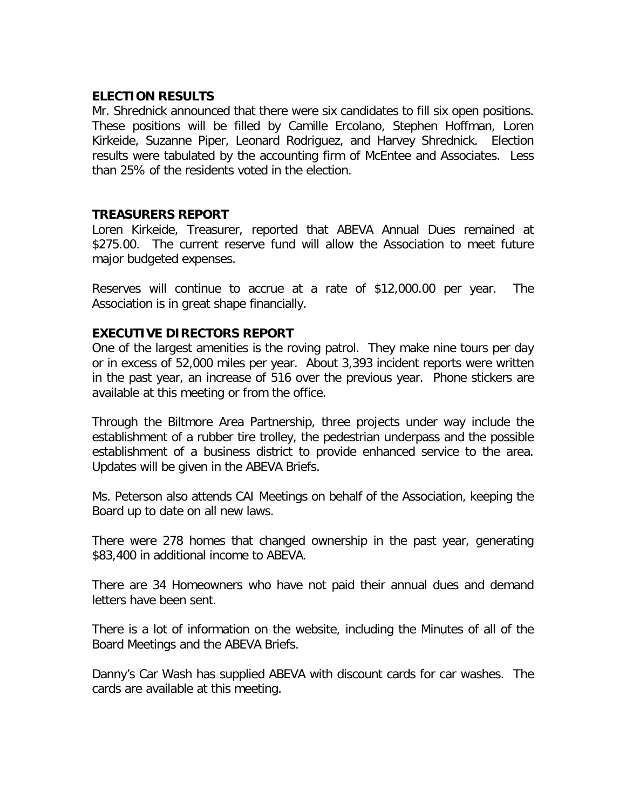## **ELECTION RESULTS**

Mr. Shrednick announced that there were six candidates to fill six open positions. These positions will be filled by Camille Ercolano, Stephen Hoffman, Loren Kirkeide, Suzanne Piper, Leonard Rodriguez, and Harvey Shrednick. Election results were tabulated by the accounting firm of McEntee and Associates. Less than 25% of the residents voted in the election.

# **TREASURERS REPORT**

Loren Kirkeide, Treasurer, reported that ABEVA Annual Dues remained at \$275.00. The current reserve fund will allow the Association to meet future major budgeted expenses.

Reserves will continue to accrue at a rate of \$12,000.00 per year. The Association is in great shape financially.

# **EXECUTIVE DIRECTORS REPORT**

One of the largest amenities is the roving patrol. They make nine tours per day or in excess of 52,000 miles per year. About 3,393 incident reports were written in the past year, an increase of 516 over the previous year. Phone stickers are available at this meeting or from the office.

Through the Biltmore Area Partnership, three projects under way include the establishment of a rubber tire trolley, the pedestrian underpass and the possible establishment of a business district to provide enhanced service to the area. Updates will be given in the ABEVA Briefs.

Ms. Peterson also attends CAI Meetings on behalf of the Association, keeping the Board up to date on all new laws.

There were 278 homes that changed ownership in the past year, generating \$83,400 in additional income to ABEVA.

There are 34 Homeowners who have not paid their annual dues and demand letters have been sent.

There is a lot of information on the website, including the Minutes of all of the Board Meetings and the ABEVA Briefs.

Danny's Car Wash has supplied ABEVA with discount cards for car washes. The cards are available at this meeting.